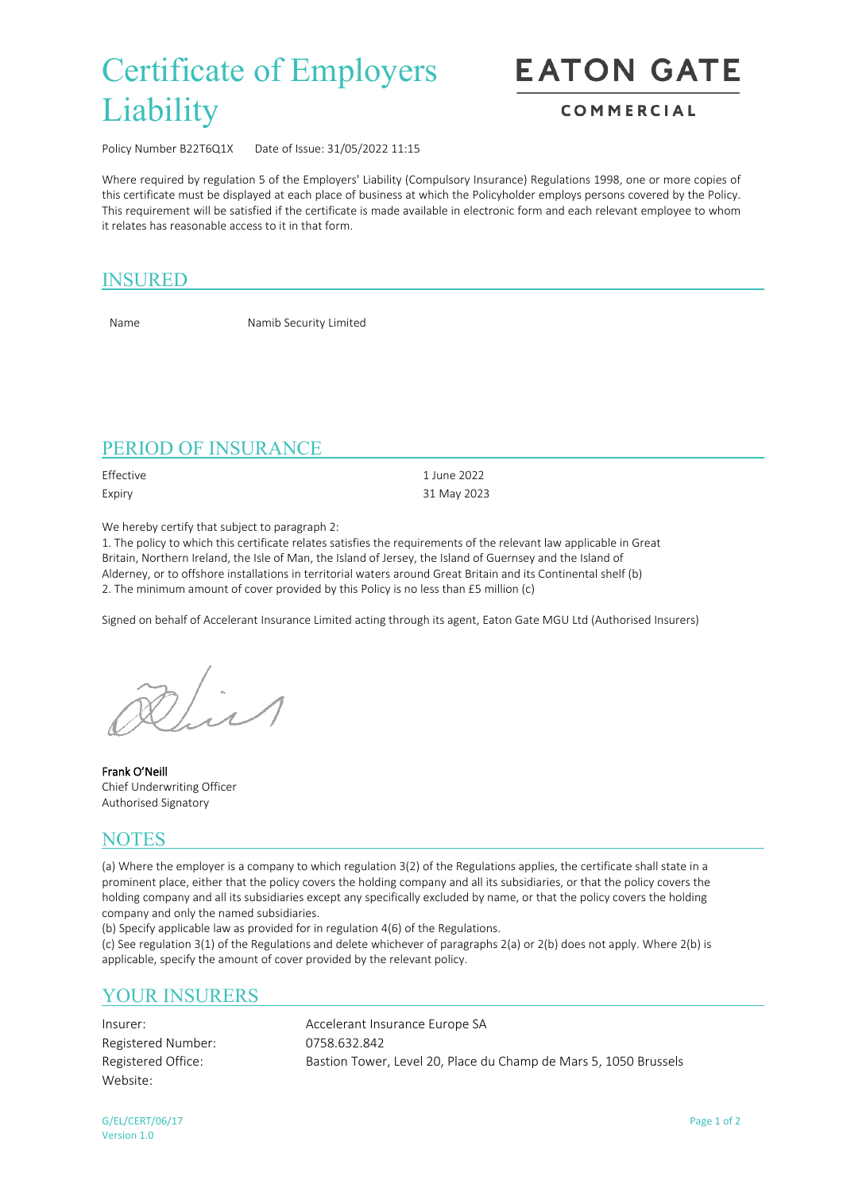# Certificate of Employers **Liability**

**EATON GATE** 

#### COMMERCIAL

Policy Number B22T6Q1X Date of Issue: 31/05/2022 11:15

Where required by regulation 5 of the Employers' Liability (Compulsory Insurance) Regulations 1998, one or more copies of this certificate must be displayed at each place of business at which the Policyholder employs persons covered by the Policy. This requirement will be satisfied if the certificate is made available in electronic form and each relevant employee to whom it relates has reasonable access to it in that form.

## INSURED

Name Namib Security Limited

# PERIOD OF INSURANCE

Effective 1 June 2022

Expiry 31 May 2023

We hereby certify that subject to paragraph 2:

1. The policy to which this certificate relates satisfies the requirements of the relevant law applicable in Great Britain, Northern Ireland, the Isle of Man, the Island of Jersey, the Island of Guernsey and the Island of Alderney, or to offshore installations in territorial waters around Great Britain and its Continental shelf (b) 2. The minimum amount of cover provided by this Policy is no less than £5 million (c)

Signed on behalf of Accelerant Insurance Limited acting through its agent, Eaton Gate MGU Ltd (Authorised Insurers)

**Frank O'Neill** Chief Underwriting Officer Authorised Signatory

#### **NOTES**

(a) Where the employer is a company to which regulation 3(2) of the Regulations applies, the certificate shall state in a prominent place, either that the policy covers the holding company and all its subsidiaries, or that the policy covers the holding company and all its subsidiaries except any specifically excluded by name, or that the policy covers the holding company and only the named subsidiaries.

(b) Specify applicable law as provided for in regulation 4(6) of the Regulations.

(c) See regulation 3(1) of the Regulations and delete whichever of paragraphs 2(a) or 2(b) does not apply. Where 2(b) is applicable, specify the amount of cover provided by the relevant policy.

# YOUR INSURERS

Registered Number: 0758.632.842 Website:

Insurer: Accelerant Insurance Europe SA Registered Office: Bastion Tower, Level 20, Place du Champ de Mars 5, 1050 Brussels

G/EL/CERT/06/17 Page 1 of 2 Version 1.0